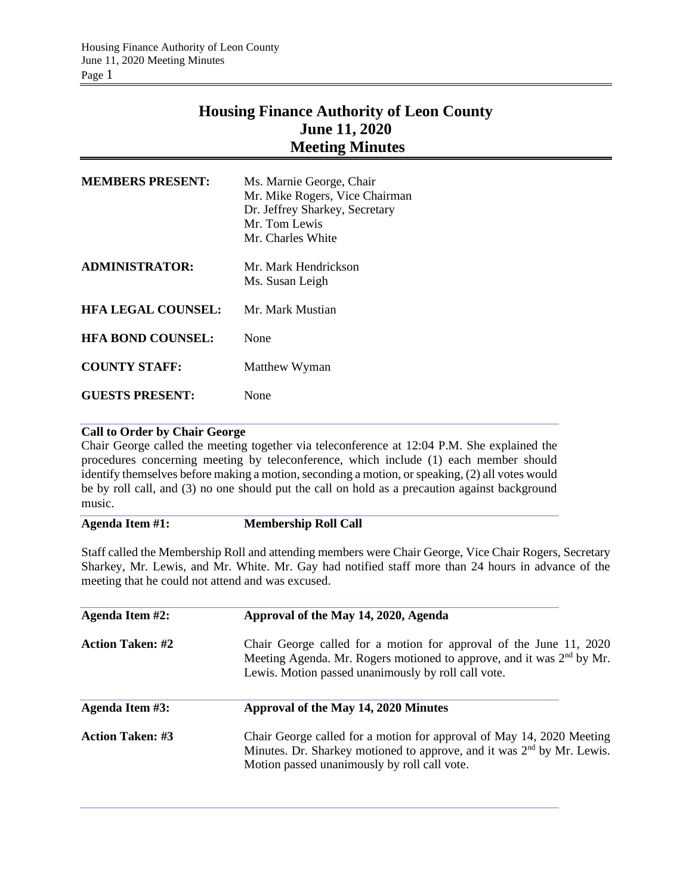# **Housing Finance Authority of Leon County June 11, 2020 Meeting Minutes**

| <b>MEMBERS PRESENT:</b>   | Ms. Marnie George, Chair<br>Mr. Mike Rogers, Vice Chairman<br>Dr. Jeffrey Sharkey, Secretary<br>Mr. Tom Lewis<br>Mr. Charles White |
|---------------------------|------------------------------------------------------------------------------------------------------------------------------------|
| <b>ADMINISTRATOR:</b>     | Mr. Mark Hendrickson<br>Ms. Susan Leigh                                                                                            |
| <b>HFA LEGAL COUNSEL:</b> | Mr. Mark Mustian                                                                                                                   |
| <b>HFA BOND COUNSEL:</b>  | None                                                                                                                               |
| <b>COUNTY STAFF:</b>      | Matthew Wyman                                                                                                                      |
| <b>GUESTS PRESENT:</b>    | None                                                                                                                               |

## **Call to Order by Chair George**

Chair George called the meeting together via teleconference at 12:04 P.M. She explained the procedures concerning meeting by teleconference, which include (1) each member should identify themselves before making a motion, seconding a motion, or speaking, (2) all votes would be by roll call, and (3) no one should put the call on hold as a precaution against background music.

## **Agenda Item #1: Membership Roll Call**

Staff called the Membership Roll and attending members were Chair George, Vice Chair Rogers, Secretary Sharkey, Mr. Lewis, and Mr. White. Mr. Gay had notified staff more than 24 hours in advance of the meeting that he could not attend and was excused.

| Agenda Item #2:         | Approval of the May 14, 2020, Agenda                                                                                                                                                                           |  |  |
|-------------------------|----------------------------------------------------------------------------------------------------------------------------------------------------------------------------------------------------------------|--|--|
| <b>Action Taken: #2</b> | Chair George called for a motion for approval of the June 11, 2020<br>Meeting Agenda. Mr. Rogers motioned to approve, and it was 2 <sup>nd</sup> by Mr.<br>Lewis. Motion passed unanimously by roll call vote. |  |  |
| Agenda Item #3:         | Approval of the May 14, 2020 Minutes                                                                                                                                                                           |  |  |
| <b>Action Taken: #3</b> | Chair George called for a motion for approval of May 14, 2020 Meeting<br>Minutes. Dr. Sharkey motioned to approve, and it was 2 <sup>nd</sup> by Mr. Lewis.<br>Motion passed unanimously by roll call vote.    |  |  |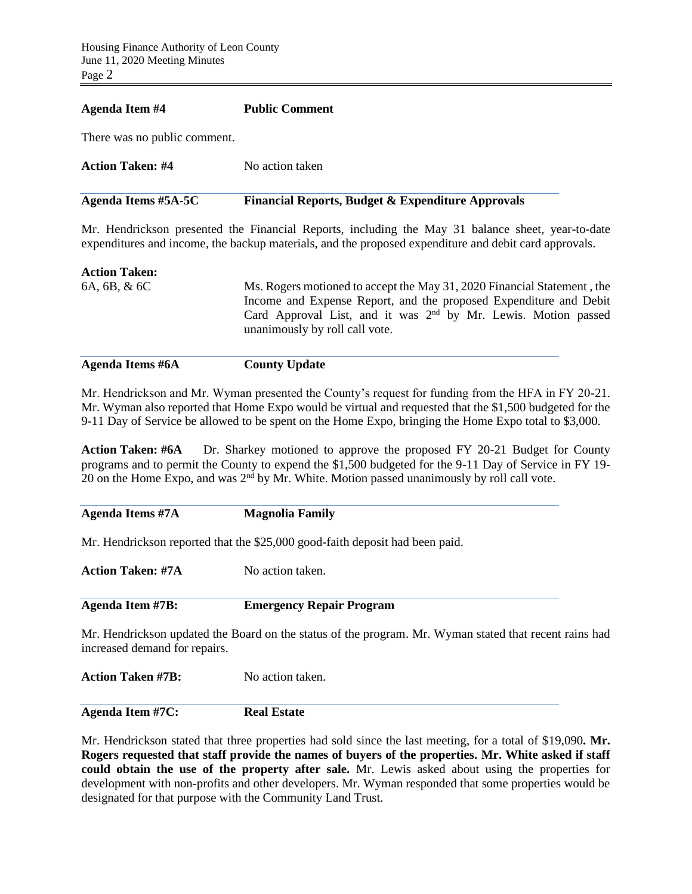### **Agenda Item #4 Public Comment**

There was no public comment.

| Action Taken: #4    | No action taken                                              |
|---------------------|--------------------------------------------------------------|
| Agenda Items #5A-5C | <b>Financial Reports, Budget &amp; Expenditure Approvals</b> |

Mr. Hendrickson presented the Financial Reports, including the May 31 balance sheet, year-to-date expenditures and income, the backup materials, and the proposed expenditure and debit card approvals.

### **Action Taken:**

6A, 6B, & 6C Ms. Rogers motioned to accept the May 31, 2020 Financial Statement , the Income and Expense Report, and the proposed Expenditure and Debit Card Approval List, and it was 2<sup>nd</sup> by Mr. Lewis. Motion passed unanimously by roll call vote.

**Agenda Items #6A County Update** 

Mr. Hendrickson and Mr. Wyman presented the County's request for funding from the HFA in FY 20-21. Mr. Wyman also reported that Home Expo would be virtual and requested that the \$1,500 budgeted for the 9-11 Day of Service be allowed to be spent on the Home Expo, bringing the Home Expo total to \$3,000.

**Action Taken: #6A** Dr. Sharkey motioned to approve the proposed FY 20-21 Budget for County programs and to permit the County to expend the \$1,500 budgeted for the 9-11 Day of Service in FY 19- 20 on the Home Expo, and was  $2<sup>nd</sup>$  by Mr. White. Motion passed unanimously by roll call vote.

**Agenda Items #7A Magnolia Family**

Mr. Hendrickson reported that the \$25,000 good-faith deposit had been paid.

**Action Taken: #7A** No action taken.

**Agenda Item #7B: Emergency Repair Program**

Mr. Hendrickson updated the Board on the status of the program. Mr. Wyman stated that recent rains had increased demand for repairs.

**Action Taken #7B:** No action taken.

**Agenda Item #7C: Real Estate**

Mr. Hendrickson stated that three properties had sold since the last meeting, for a total of \$19,090**. Mr. Rogers requested that staff provide the names of buyers of the properties. Mr. White asked if staff could obtain the use of the property after sale.** Mr. Lewis asked about using the properties for development with non-profits and other developers. Mr. Wyman responded that some properties would be designated for that purpose with the Community Land Trust.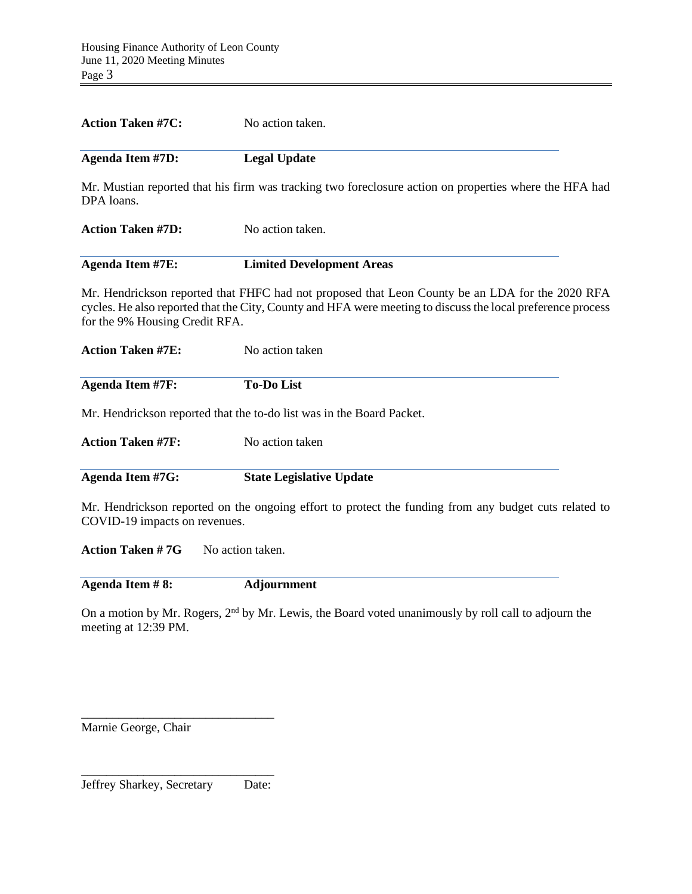| <b>Action Taken #7C:</b>       | No action taken.                                                                                                                                                                                               |  |  |  |
|--------------------------------|----------------------------------------------------------------------------------------------------------------------------------------------------------------------------------------------------------------|--|--|--|
| <b>Agenda Item #7D:</b>        | <b>Legal Update</b>                                                                                                                                                                                            |  |  |  |
| DPA loans.                     | Mr. Mustian reported that his firm was tracking two foreclosure action on properties where the HFA had                                                                                                         |  |  |  |
| <b>Action Taken #7D:</b>       | No action taken.                                                                                                                                                                                               |  |  |  |
| <b>Agenda Item #7E:</b>        | <b>Limited Development Areas</b>                                                                                                                                                                               |  |  |  |
| for the 9% Housing Credit RFA. | Mr. Hendrickson reported that FHFC had not proposed that Leon County be an LDA for the 2020 RFA<br>cycles. He also reported that the City, County and HFA were meeting to discuss the local preference process |  |  |  |
| <b>Action Taken #7E:</b>       | No action taken                                                                                                                                                                                                |  |  |  |
| <b>Agenda Item #7F:</b>        | <b>To-Do List</b>                                                                                                                                                                                              |  |  |  |
|                                | Mr. Hendrickson reported that the to-do list was in the Board Packet.                                                                                                                                          |  |  |  |
| <b>Action Taken #7F:</b>       | No action taken                                                                                                                                                                                                |  |  |  |
| <b>Agenda Item #7G:</b>        | <b>State Legislative Update</b>                                                                                                                                                                                |  |  |  |
| COVID-19 impacts on revenues.  | Mr. Hendrickson reported on the ongoing effort to protect the funding from any budget cuts related to                                                                                                          |  |  |  |
| <b>Action Taken #7G</b>        | No action taken.                                                                                                                                                                                               |  |  |  |
| Agenda Item #8:                | <b>Adjournment</b>                                                                                                                                                                                             |  |  |  |
| meeting at 12:39 PM.           | On a motion by Mr. Rogers, 2 <sup>nd</sup> by Mr. Lewis, the Board voted unanimously by roll call to adjourn the                                                                                               |  |  |  |

Marnie George, Chair

\_\_\_\_\_\_\_\_\_\_\_\_\_\_\_\_\_\_\_\_\_\_\_\_\_\_\_\_\_\_\_ Jeffrey Sharkey, Secretary Date:

\_\_\_\_\_\_\_\_\_\_\_\_\_\_\_\_\_\_\_\_\_\_\_\_\_\_\_\_\_\_\_